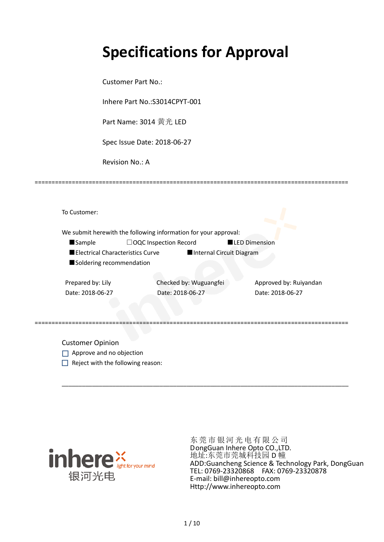# **Specifications for Approval**

Customer Part No.:

Inhere Part No.:S3014CPYT-001

Part Name: 3014 黄光 LED

Spec Issue Date: 2018-06-27

Revision No.: A

|                   |                                  | We submit herewith the following information for your approval: |                        |  |
|-------------------|----------------------------------|-----------------------------------------------------------------|------------------------|--|
| <b>Sample</b>     | $\Box$ OQC Inspection Record     |                                                                 | <b>LED Dimension</b>   |  |
|                   | Electrical Characteristics Curve | Internal Circuit Diagram                                        |                        |  |
|                   | Soldering recommendation         |                                                                 |                        |  |
|                   |                                  |                                                                 |                        |  |
| Prepared by: Lily |                                  | Checked by: Wuguangfei                                          | Approved by: Ruiyandan |  |

\_\_\_\_\_\_\_\_\_\_\_\_\_\_\_\_\_\_\_\_\_\_\_\_\_\_\_\_\_\_\_\_\_\_\_\_\_\_\_\_\_\_\_\_\_\_\_\_\_\_\_\_\_\_\_\_\_\_\_\_\_\_\_\_\_\_\_\_\_\_\_\_\_\_\_\_\_\_\_\_\_\_\_\_\_

=============================================================================================

Customer Opinion

- Approve and no objection
- $\Box$  Reject with the following reason:



东莞市银河光电有限公司 DongGuan Inhere Opto CO.,LTD. 地址:东莞市莞城科技园 D 幢 ADD:Guancheng Science & Technology Park, DongGuan TEL: 0769-23320868 FAX: 0769-23320878 E-mail: bill@inhereopto.com Http://www.inhereopto.com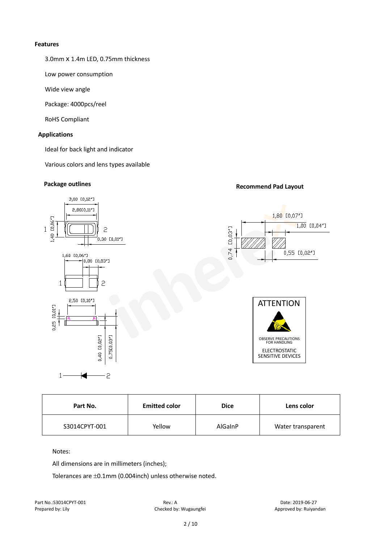#### **Features**

3.0mmⅹ1.4m LED, 0.75mm thickness

Low power consumption

Wide view angle

Package: 4000pcs/reel

RoHS Compliant

#### **Applications**

Ideal for back light and indicator

Various colors and lens types available

# **Package outlines Recommend Pad Layout**



| Part No.      | <b>Emitted color</b> | <b>Dice</b> | Lens color        |
|---------------|----------------------|-------------|-------------------|
| S3014CPYT-001 | Yellow               | AlGaInP     | Water transparent |

#### Notes:

All dimensions are in millimeters (inches);

Tolerances are ±0.1mm (0.004inch) unless otherwise noted.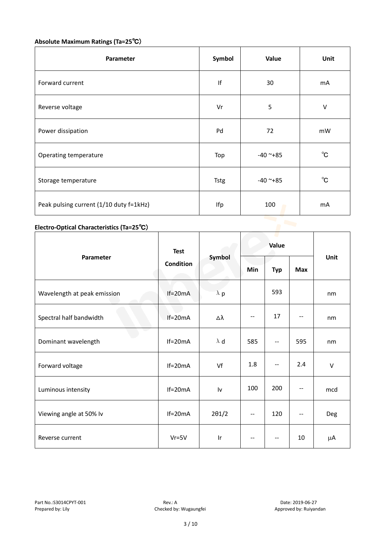## **Absolute Maximum Ratings (Ta=25**℃)

| Parameter                               | Symbol      | Value      | Unit           |
|-----------------------------------------|-------------|------------|----------------|
| Forward current                         | If          | 30         | m <sub>A</sub> |
| Reverse voltage                         | Vr          | 5          | $\vee$         |
| Power dissipation                       | Pd          | 72         | mW             |
| Operating temperature                   | Top         | $-40$ ~+85 | $^{\circ}$ C   |
| Storage temperature                     | <b>Tstg</b> | $-40$ ~+85 | $^{\circ}$ C   |
| Peak pulsing current (1/10 duty f=1kHz) | Ifp         | 100        | mA             |

# **Electro-Optical Characteristics (Ta=25**℃)

|                             | <b>Test</b><br><b>Condition</b> | Symbol        | Value |                          |            |        |
|-----------------------------|---------------------------------|---------------|-------|--------------------------|------------|--------|
| Parameter                   |                                 |               | Min   | <b>Typ</b>               | <b>Max</b> | Unit   |
| Wavelength at peak emission | $If=20mA$                       | $\lambda$ p   |       | 593                      |            | nm     |
| Spectral half bandwidth     | $If=20mA$                       | Δλ            | --    | 17                       |            | nm     |
| Dominant wavelength         | $If=20mA$                       | $\lambda$ d   | 585   | --                       | 595        | nm     |
| Forward voltage             | $If=20mA$                       | Vf            | 1.8   | --                       | 2.4        | $\vee$ |
| Luminous intensity          | $If=20mA$                       | Iv            | 100   | 200                      |            | mcd    |
| Viewing angle at 50% lv     | $If=20mA$                       | $2\theta$ 1/2 | --    | 120                      | $-$        | Deg    |
| Reverse current             | $Vr = 5V$                       | Ir            | $-$   | $\overline{\phantom{m}}$ | 10         | μA     |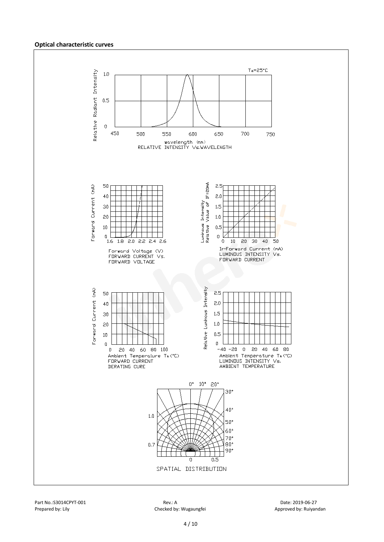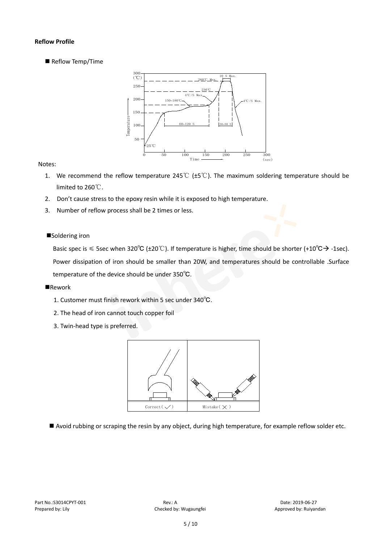#### **Reflow Profile**

Reflow Temp/Time



#### Notes:

- 1. We recommend the reflow temperature 245℃ (±5℃). The maximum soldering temperature should be limited to 260℃.
- 2. Don't cause stress to the epoxy resin while it is exposed to high temperature.
- 3. Number of reflow process shall be 2 times or less.

#### ■Soldering iron

Basic spec is  $\leq$  5sec when 320°C (±20°C). If temperature is higher, time should be shorter (+10°C $\rightarrow$ -1sec). Power dissipation of iron should be smaller than 20W, and temperatures should be controllable .Surface temperature of the device should be under 350℃.

#### **Rework**

- 1. Customer must finish rework within 5 sec under 340℃.
- 2. The head of iron cannot touch copper foil
- 3. Twin-head type is preferred.



Avoid rubbing or scraping the resin by any object, during high temperature, for example reflow solder etc.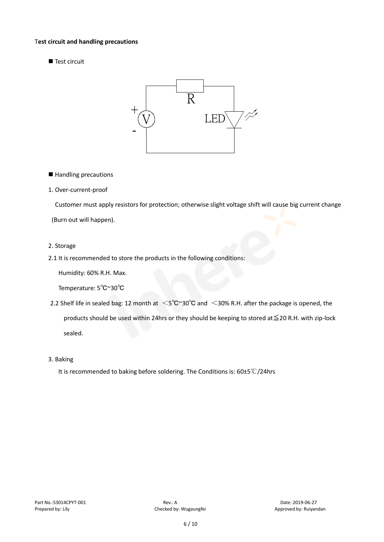#### T**est circuit and handling precautions**

Test circuit



■ Handling precautions

#### 1. Over-current-proof

Customer must apply resistors for protection; otherwise slight voltage shift will cause big current change

(Burn out will happen).

#### 2. Storage

2.1 It is recommended to store the products in the following conditions:

Humidity: 60% R.H. Max.

Temperature: 5℃~30℃

- 2.2 Shelf life in sealed bag: 12 month at <5℃~30°C and <30% R.H. after the package is opened, the products should be used within 24hrs or they should be keeping to stored at≦20 R.H. with zip-lock sealed.
- 3. Baking

It is recommended to baking before soldering. The Conditions is: 60±5℃/24hrs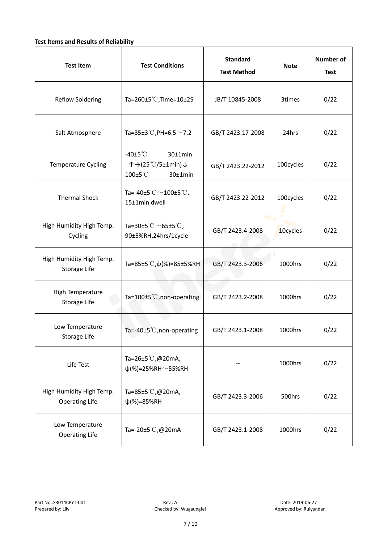#### **Test Items and Results of Reliability**

| <b>Test Item</b>                                  | <b>Test Conditions</b>                                                         | <b>Standard</b><br><b>Test Method</b> | <b>Note</b> | <b>Number of</b><br><b>Test</b> |
|---------------------------------------------------|--------------------------------------------------------------------------------|---------------------------------------|-------------|---------------------------------|
| <b>Reflow Soldering</b>                           | Ta=260 $\pm$ 5 °C, Time=10 $\pm$ 2S                                            | JB/T 10845-2008                       | 3times      | 0/22                            |
| Salt Atmosphere                                   | Ta=35±3°C, PH=6.5 $\sim$ 7.2                                                   | GB/T 2423.17-2008                     | 24hrs       | 0/22                            |
| Temperature Cycling                               | -40 $±5^{\circ}$ C<br>$30±1$ min<br>个→(25℃/5±1min)↓<br>100±5°C<br>$30±1$ min   | GB/T 2423.22-2012                     |             | 0/22                            |
| <b>Thermal Shock</b>                              | Ta=-40±5 $\degree \text{C}$ $\sim$ 100±5 $\degree \text{C}$ ,<br>15±1min dwell | GB/T 2423.22-2012                     | 100cycles   | 0/22                            |
| High Humidity High Temp.<br>Cycling               | Ta=30±5 °C $\sim$ 65±5 °C,<br>90±5%RH,24hrs/1cycle                             | GB/T 2423.4-2008                      | 10cycles    | 0/22                            |
| High Humidity High Temp.<br>Storage Life          | Ta=85±5 °C, $\psi$ (%)=85±5%RH                                                 | GB/T 2423.3-2006                      | 1000hrs     | 0/22                            |
| High Temperature<br><b>Storage Life</b>           | Ta=100±5°C, non-operating                                                      | GB/T 2423.2-2008                      | 1000hrs     | 0/22                            |
| Low Temperature<br>Storage Life                   | Ta=-40±5℃, non-operating                                                       | GB/T 2423.1-2008                      | 1000hrs     | 0/22                            |
| Life Test                                         | Ta=26±5℃,@20mA,<br>$\psi$ (%)=25%RH~55%RH                                      |                                       | 1000hrs     | 0/22                            |
| High Humidity High Temp.<br><b>Operating Life</b> | Ta=85±5 $\degree$ C, @20mA,<br>$\psi$ (%)=85%RH                                | GB/T 2423.3-2006                      | 500hrs      | 0/22                            |
| Low Temperature<br><b>Operating Life</b>          | Ta=-20±5℃,@20mA                                                                | GB/T 2423.1-2008                      | 1000hrs     | 0/22                            |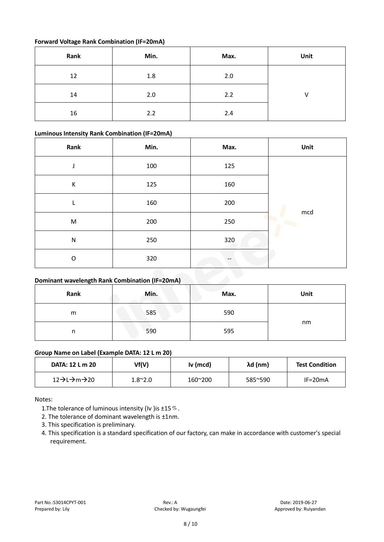#### **Forward Voltage Rank Combination (IF=20mA)**

| Rank | Min. | Max. | Unit |
|------|------|------|------|
| 12   | 1.8  | 2.0  |      |
| 14   | 2.0  | 2.2  | v    |
| 16   | 2.2  | 2.4  |      |

#### **Luminous Intensity Rank Combination (IF=20mA)**

| Rank      | Min. | Max. | Unit     |
|-----------|------|------|----------|
| J         | 100  | 125  |          |
| К         | 125  | 160  |          |
|           | 160  | 200  |          |
| ${\sf M}$ | 200  | 250  | mcd<br>Þ |
| ${\sf N}$ | 250  | 320  |          |
| O         | 320  |      |          |

### **Dominant wavelength Rank Combination (IF=20mA)**

| Rank | Min. | Max. | Unit |
|------|------|------|------|
| m    | 585  | 590  |      |
| n    | 590  | 595  | nm   |

#### **Group Name on Label (Example DATA: 12 L m 20)**

| DATA: 12 L m 20 | Vf(V)           | Iv (mcd) | λd (nm) | <b>Test Condition</b> |
|-----------------|-----------------|----------|---------|-----------------------|
| 12→L→m→20       | $1.8^{\sim}2.0$ | 160~200  | 585~590 | $IF=20mA$             |

Notes:

1. The tolerance of luminous intensity (Iv ) is  $\pm 15\%$ .

2. The tolerance of dominant wavelength is ±1nm.

- 3. This specification is preliminary.
- 4. This specification is a standard specification of our factory, can make in accordance with customer's special requirement.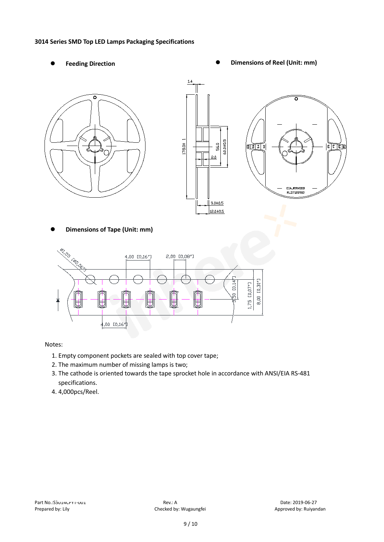#### **3014 Series SMD Top LED Lamps Packaging Specifications**

- 
- Feeding Direction **Constanting Constanting Constanting Constanting Constanting Constanting Constanting Constanting Constanting Constanting Constanting Constanting Constanting Constanting Constanting Constanting Constanting**





**Dimensions of Tape (Unit: mm)**



Notes:

- 1. Empty component pockets are sealed with top cover tape;
- 2. The maximum number of missing lamps is two;
- 3. The cathode is oriented towards the tape sprocket hole in accordance with ANSI/EIA RS-481 specifications.
- 4. 4,000pcs/Reel.